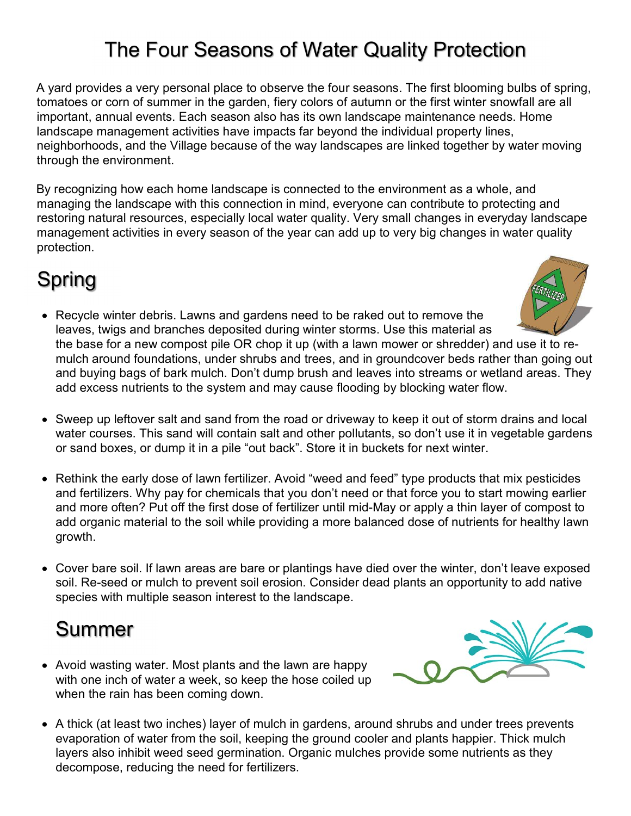## The Four Seasons of Water Quality Protection

A yard provides a very personal place to observe the four seasons. The first blooming bulbs of spring, tomatoes or corn of summer in the garden, fiery colors of autumn or the first winter snowfall are all important, annual events. Each season also has its own landscape maintenance needs. Home landscape management activities have impacts far beyond the individual property lines, neighborhoods, and the Village because of the way landscapes are linked together by water moving through the environment.

By recognizing how each home landscape is connected to the environment as a whole, and managing the landscape with this connection in mind, everyone can contribute to protecting and restoring natural resources, especially local water quality. Very small changes in everyday landscape management activities in every season of the year can add up to very big changes in water quality protection.

# Spring

- Recycle winter debris. Lawns and gardens need to be raked out to remove the leaves, twigs and branches deposited during winter storms. Use this material as the base for a new compost pile OR chop it up (with a lawn mower or shredder) and use it to remulch around foundations, under shrubs and trees, and in groundcover beds rather than going out and buying bags of bark mulch. Don't dump brush and leaves into streams or wetland areas. They add excess nutrients to the system and may cause flooding by blocking water flow.
- Sweep up leftover salt and sand from the road or driveway to keep it out of storm drains and local water courses. This sand will contain salt and other pollutants, so don't use it in vegetable gardens or sand boxes, or dump it in a pile "out back". Store it in buckets for next winter.
- Rethink the early dose of lawn fertilizer. Avoid "weed and feed" type products that mix pesticides and fertilizers. Why pay for chemicals that you don't need or that force you to start mowing earlier and more often? Put off the first dose of fertilizer until mid-May or apply a thin layer of compost to add organic material to the soil while providing a more balanced dose of nutrients for healthy lawn growth.
- Cover bare soil. If lawn areas are bare or plantings have died over the winter, don't leave exposed soil. Re-seed or mulch to prevent soil erosion. Consider dead plants an opportunity to add native species with multiple season interest to the landscape.

### Summer

- Avoid wasting water. Most plants and the lawn are happy with one inch of water a week, so keep the hose coiled up when the rain has been coming down.
- A thick (at least two inches) layer of mulch in gardens, around shrubs and under trees prevents evaporation of water from the soil, keeping the ground cooler and plants happier. Thick mulch layers also inhibit weed seed germination. Organic mulches provide some nutrients as they decompose, reducing the need for fertilizers.